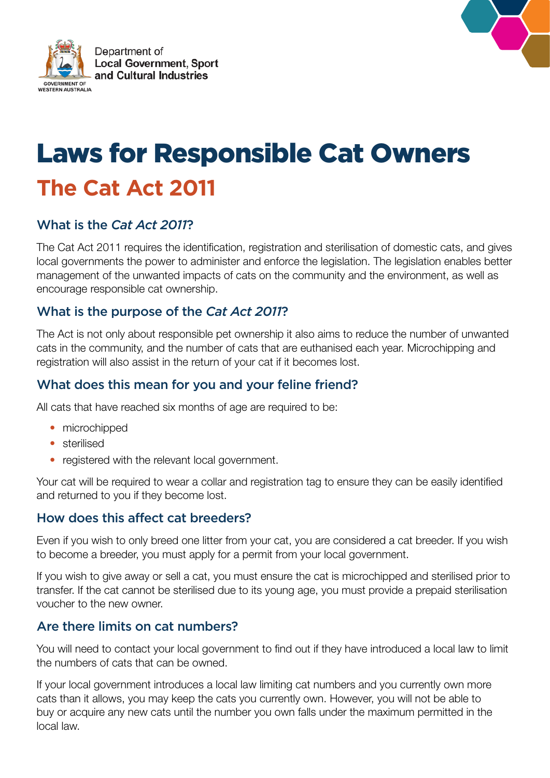



# Laws for Responsible Cat Owners **The Cat Act 2011**

# What is the *Cat Act 2011*?

The Cat Act 2011 requires the identification, registration and sterilisation of domestic cats, and gives local governments the power to administer and enforce the legislation. The legislation enables better management of the unwanted impacts of cats on the community and the environment, as well as encourage responsible cat ownership.

# What is the purpose of the *Cat Act 2011*?

The Act is not only about responsible pet ownership it also aims to reduce the number of unwanted cats in the community, and the number of cats that are euthanised each year. Microchipping and registration will also assist in the return of your cat if it becomes lost.

# What does this mean for you and your feline friend?

All cats that have reached six months of age are required to be:

- microchipped
- sterilised
- registered with the relevant local government.

Your cat will be required to wear a collar and registration tag to ensure they can be easily identified and returned to you if they become lost.

## How does this affect cat breeders?

Even if you wish to only breed one litter from your cat, you are considered a cat breeder. If you wish to become a breeder, you must apply for a permit from your local government.

If you wish to give away or sell a cat, you must ensure the cat is microchipped and sterilised prior to transfer. If the cat cannot be sterilised due to its young age, you must provide a prepaid sterilisation voucher to the new owner.

## Are there limits on cat numbers?

You will need to contact your local government to find out if they have introduced a local law to limit the numbers of cats that can be owned.

If your local government introduces a local law limiting cat numbers and you currently own more cats than it allows, you may keep the cats you currently own. However, you will not be able to buy or acquire any new cats until the number you own falls under the maximum permitted in the local law.